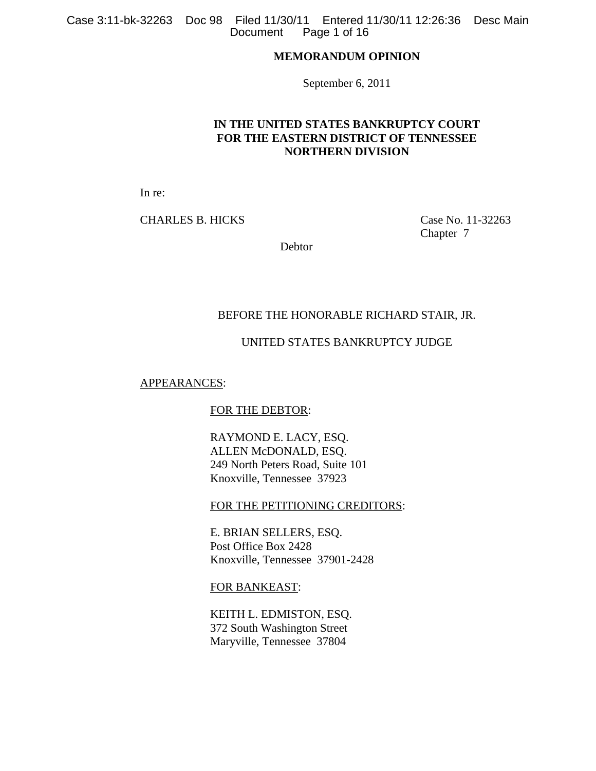# **MEMORANDUM OPINION**

September 6, 2011

# **IN THE UNITED STATES BANKRUPTCY COURT FOR THE EASTERN DISTRICT OF TENNESSEE NORTHERN DIVISION**

In re:

CHARLES B. HICKS Case No. 11-32263

Chapter 7

Debtor

## BEFORE THE HONORABLE RICHARD STAIR, JR.

## UNITED STATES BANKRUPTCY JUDGE

APPEARANCES:

FOR THE DEBTOR:

RAYMOND E. LACY, ESQ. ALLEN McDONALD, ESQ. 249 North Peters Road, Suite 101 Knoxville, Tennessee 37923

## FOR THE PETITIONING CREDITORS:

E. BRIAN SELLERS, ESQ. Post Office Box 2428 Knoxville, Tennessee 37901-2428

FOR BANKEAST:

KEITH L. EDMISTON, ESQ. 372 South Washington Street Maryville, Tennessee 37804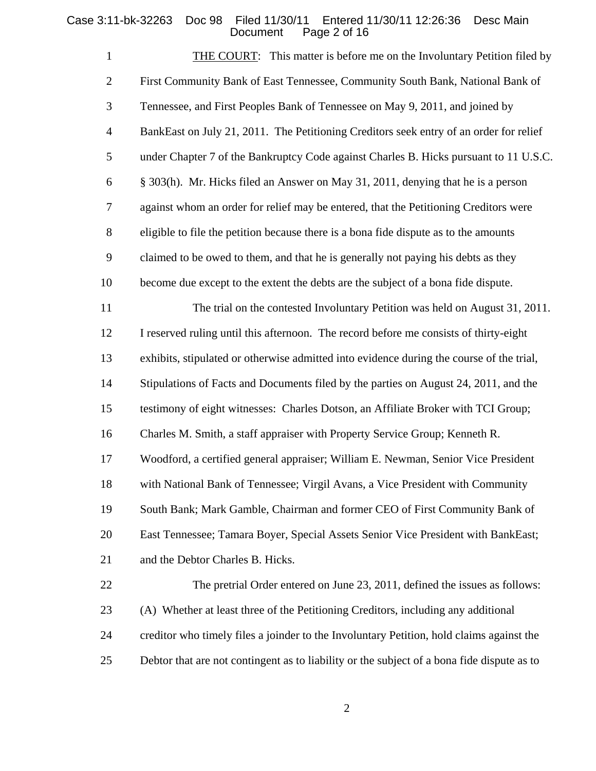# Case 3:11-bk-32263 Doc 98 Filed 11/30/11<br>Document Pag 11 Entered 11/30/11 12:26:36 Desc Main<br>Page 2 of 16

| $\mathbf{1}$   | <b>THE COURT:</b> This matter is before me on the Involuntary Petition filed by          |
|----------------|------------------------------------------------------------------------------------------|
| $\sqrt{2}$     | First Community Bank of East Tennessee, Community South Bank, National Bank of           |
| 3              | Tennessee, and First Peoples Bank of Tennessee on May 9, 2011, and joined by             |
| $\overline{4}$ | BankEast on July 21, 2011. The Petitioning Creditors seek entry of an order for relief   |
| 5              | under Chapter 7 of the Bankruptcy Code against Charles B. Hicks pursuant to 11 U.S.C.    |
| 6              | § 303(h). Mr. Hicks filed an Answer on May 31, 2011, denying that he is a person         |
| 7              | against whom an order for relief may be entered, that the Petitioning Creditors were     |
| 8              | eligible to file the petition because there is a bona fide dispute as to the amounts     |
| 9              | claimed to be owed to them, and that he is generally not paying his debts as they        |
| 10             | become due except to the extent the debts are the subject of a bona fide dispute.        |
| 11             | The trial on the contested Involuntary Petition was held on August 31, 2011.             |
| 12             | I reserved ruling until this afternoon. The record before me consists of thirty-eight    |
| 13             | exhibits, stipulated or otherwise admitted into evidence during the course of the trial, |
| 14             | Stipulations of Facts and Documents filed by the parties on August 24, 2011, and the     |
| 15             | testimony of eight witnesses: Charles Dotson, an Affiliate Broker with TCI Group;        |
| 16             | Charles M. Smith, a staff appraiser with Property Service Group; Kenneth R.              |
| 17             | Woodford, a certified general appraiser; William E. Newman, Senior Vice President        |
| 18             | with National Bank of Tennessee; Virgil Avans, a Vice President with Community           |
| 19             | South Bank; Mark Gamble, Chairman and former CEO of First Community Bank of              |
| 20             | East Tennessee; Tamara Boyer, Special Assets Senior Vice President with BankEast;        |
| 21             | and the Debtor Charles B. Hicks.                                                         |
| 22             | The pretrial Order entered on June 23, 2011, defined the issues as follows:              |
| 23             | (A) Whether at least three of the Petitioning Creditors, including any additional        |

 creditor who timely files a joinder to the Involuntary Petition, hold claims against the Debtor that are not contingent as to liability or the subject of a bona fide dispute as to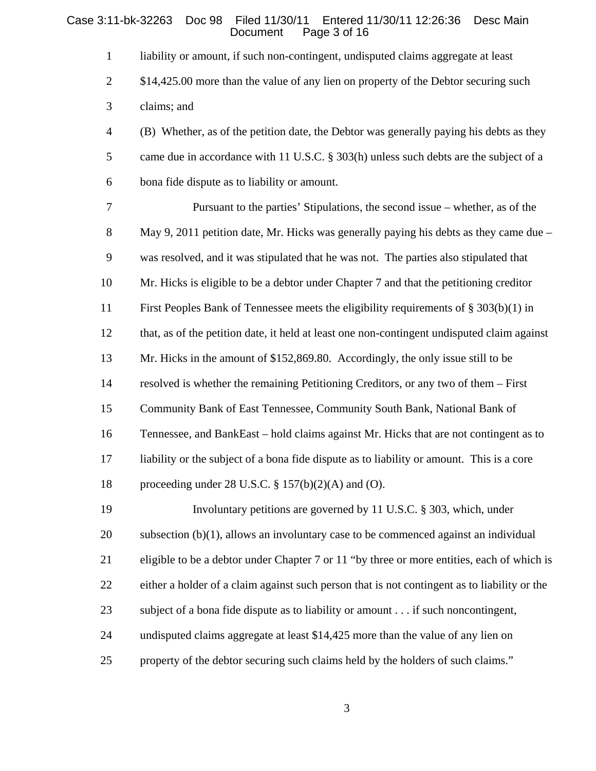#### Case 3:11-bk-32263 Doc 98 Filed 11/30/11 Entered 11/30/11 12:26:36 Desc Main Page 3 of 16

liability or amount, if such non-contingent, undisputed claims aggregate at least

2 \$14,425.00 more than the value of any lien on property of the Debtor securing such

claims; and

 (B) Whether, as of the petition date, the Debtor was generally paying his debts as they came due in accordance with 11 U.S.C. § 303(h) unless such debts are the subject of a bona fide dispute as to liability or amount.

 Pursuant to the parties' Stipulations, the second issue – whether, as of the May 9, 2011 petition date, Mr. Hicks was generally paying his debts as they came due – was resolved, and it was stipulated that he was not. The parties also stipulated that Mr. Hicks is eligible to be a debtor under Chapter 7 and that the petitioning creditor First Peoples Bank of Tennessee meets the eligibility requirements of § 303(b)(1) in that, as of the petition date, it held at least one non-contingent undisputed claim against Mr. Hicks in the amount of \$152,869.80. Accordingly, the only issue still to be resolved is whether the remaining Petitioning Creditors, or any two of them – First Community Bank of East Tennessee, Community South Bank, National Bank of Tennessee, and BankEast – hold claims against Mr. Hicks that are not contingent as to liability or the subject of a bona fide dispute as to liability or amount. This is a core proceeding under 28 U.S.C. § 157(b)(2)(A) and (O).

 Involuntary petitions are governed by 11 U.S.C. § 303, which, under subsection (b)(1), allows an involuntary case to be commenced against an individual 21 eligible to be a debtor under Chapter 7 or 11 "by three or more entities, each of which is either a holder of a claim against such person that is not contingent as to liability or the subject of a bona fide dispute as to liability or amount . . . if such noncontingent, undisputed claims aggregate at least \$14,425 more than the value of any lien on property of the debtor securing such claims held by the holders of such claims."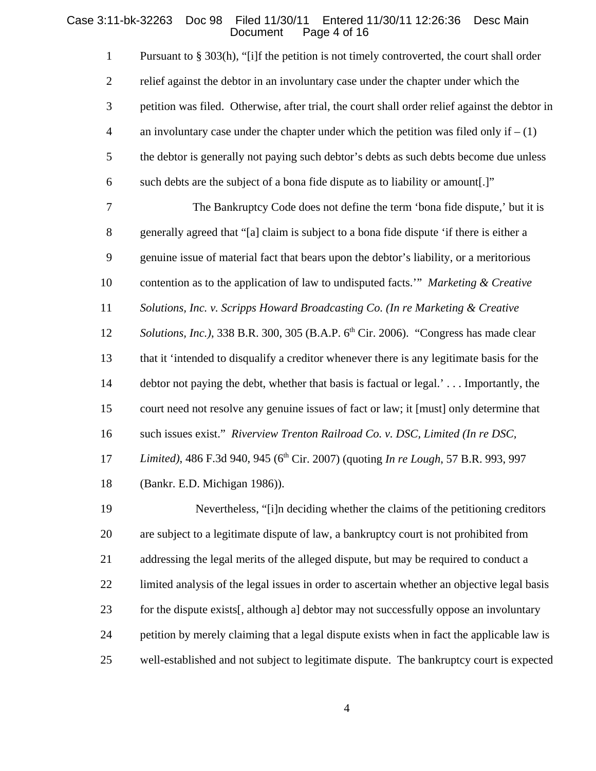#### Case 3:11-bk-32263 Doc 98 Filed 11/30/11 Entered 11/30/11 12:26:36 Desc Main Page 4 of 16

 Pursuant to § 303(h), "[i]f the petition is not timely controverted, the court shall order relief against the debtor in an involuntary case under the chapter under which the petition was filed. Otherwise, after trial, the court shall order relief against the debtor in 4 an involuntary case under the chapter under which the petition was filed only if  $- (1)$  the debtor is generally not paying such debtor's debts as such debts become due unless such debts are the subject of a bona fide dispute as to liability or amount[.]"

 The Bankruptcy Code does not define the term 'bona fide dispute,' but it is generally agreed that "[a] claim is subject to a bona fide dispute 'if there is either a genuine issue of material fact that bears upon the debtor's liability, or a meritorious contention as to the application of law to undisputed facts.'" *Marketing & Creative Solutions, Inc. v. Scripps Howard Broadcasting Co. (In re Marketing & Creative Solutions, Inc.)*, 338 B.R. 300, 305 (B.A.P. 6<sup>th</sup> Cir. 2006). "Congress has made clear that it 'intended to disqualify a creditor whenever there is any legitimate basis for the debtor not paying the debt, whether that basis is factual or legal.' . . . Importantly, the court need not resolve any genuine issues of fact or law; it [must] only determine that such issues exist." *Riverview Trenton Railroad Co. v. DSC, Limited (In re DSC, Limited*), 486 F.3d 940, 945 (6<sup>th</sup> Cir. 2007) (quoting *In re Lough*, 57 B.R. 993, 997

(Bankr. E.D. Michigan 1986)).

19 Nevertheless, "[i]n deciding whether the claims of the petitioning creditors are subject to a legitimate dispute of law, a bankruptcy court is not prohibited from 21 addressing the legal merits of the alleged dispute, but may be required to conduct a limited analysis of the legal issues in order to ascertain whether an objective legal basis 23 for the dispute exists[, although a] debtor may not successfully oppose an involuntary petition by merely claiming that a legal dispute exists when in fact the applicable law is well-established and not subject to legitimate dispute. The bankruptcy court is expected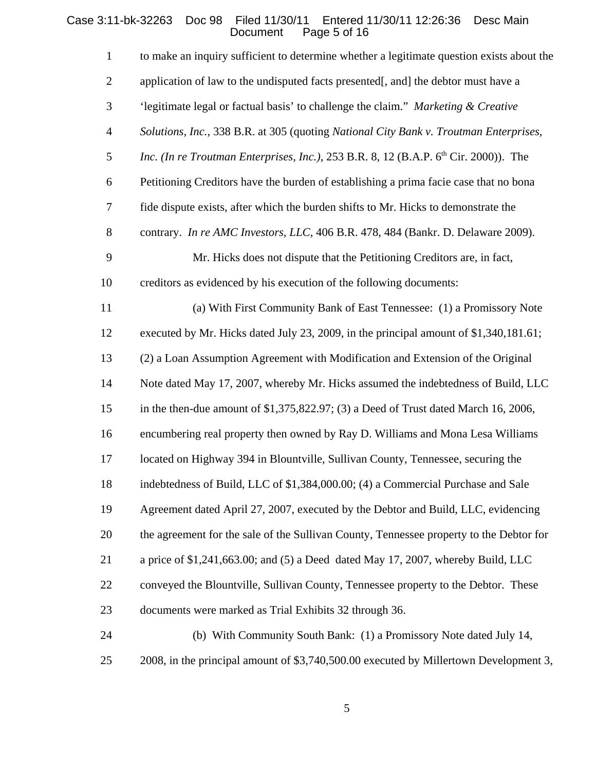## Case 3:11-bk-32263 Doc 98 Filed 11/30/11 Entered 11/30/11 12:26:36 Desc Main Document Page 5 of 16

| $\mathbf{1}$     | to make an inquiry sufficient to determine whether a legitimate question exists about the |
|------------------|-------------------------------------------------------------------------------------------|
| $\mathbf{2}$     | application of law to the undisputed facts presented[, and] the debtor must have a        |
| 3                | 'legitimate legal or factual basis' to challenge the claim." Marketing & Creative         |
| $\overline{4}$   | Solutions, Inc., 338 B.R. at 305 (quoting National City Bank v. Troutman Enterprises,     |
| $\mathfrak{S}$   | Inc. (In re Troutman Enterprises, Inc.), 253 B.R. 8, 12 (B.A.P. $6th$ Cir. 2000)). The    |
| 6                | Petitioning Creditors have the burden of establishing a prima facie case that no bona     |
| $\boldsymbol{7}$ | fide dispute exists, after which the burden shifts to Mr. Hicks to demonstrate the        |
| 8                | contrary. In re AMC Investors, LLC, 406 B.R. 478, 484 (Bankr. D. Delaware 2009).          |
| 9                | Mr. Hicks does not dispute that the Petitioning Creditors are, in fact,                   |
| 10               | creditors as evidenced by his execution of the following documents:                       |
| 11               | (a) With First Community Bank of East Tennessee: (1) a Promissory Note                    |
| 12               | executed by Mr. Hicks dated July 23, 2009, in the principal amount of \$1,340,181.61;     |
| 13               | (2) a Loan Assumption Agreement with Modification and Extension of the Original           |
| 14               | Note dated May 17, 2007, whereby Mr. Hicks assumed the indebtedness of Build, LLC         |
| 15               | in the then-due amount of $$1,375,822.97$ ; (3) a Deed of Trust dated March 16, 2006,     |
| 16               | encumbering real property then owned by Ray D. Williams and Mona Lesa Williams            |
| 17               | located on Highway 394 in Blountville, Sullivan County, Tennessee, securing the           |
| 18               | indebtedness of Build, LLC of \$1,384,000.00; (4) a Commercial Purchase and Sale          |
| 19               | Agreement dated April 27, 2007, executed by the Debtor and Build, LLC, evidencing         |
| 20               | the agreement for the sale of the Sullivan County, Tennessee property to the Debtor for   |
| 21               | a price of \$1,241,663.00; and (5) a Deed dated May 17, 2007, whereby Build, LLC          |
| 22               | conveyed the Blountville, Sullivan County, Tennessee property to the Debtor. These        |
| 23               | documents were marked as Trial Exhibits 32 through 36.                                    |
| 24               | (b) With Community South Bank: (1) a Promissory Note dated July 14,                       |
| 25               | 2008, in the principal amount of \$3,740,500.00 executed by Millertown Development 3,     |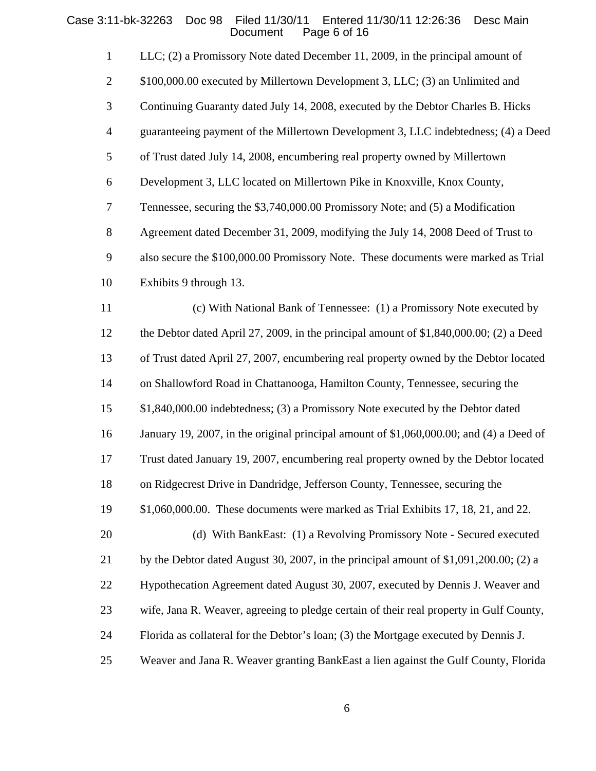#### Case 3:11-bk-32263 Doc 98 Filed 11/30/11 Entered 11/30/11 12:26:36 Desc Main Page 6 of 16

LLC; (2) a Promissory Note dated December 11, 2009, in the principal amount of

\$100,000.00 executed by Millertown Development 3, LLC; (3) an Unlimited and

Continuing Guaranty dated July 14, 2008, executed by the Debtor Charles B. Hicks

guaranteeing payment of the Millertown Development 3, LLC indebtedness; (4) a Deed

of Trust dated July 14, 2008, encumbering real property owned by Millertown

Development 3, LLC located on Millertown Pike in Knoxville, Knox County,

Tennessee, securing the \$3,740,000.00 Promissory Note; and (5) a Modification

Agreement dated December 31, 2009, modifying the July 14, 2008 Deed of Trust to

also secure the \$100,000.00 Promissory Note. These documents were marked as Trial

Exhibits 9 through 13.

 (c) With National Bank of Tennessee: (1) a Promissory Note executed by the Debtor dated April 27, 2009, in the principal amount of \$1,840,000.00; (2) a Deed of Trust dated April 27, 2007, encumbering real property owned by the Debtor located on Shallowford Road in Chattanooga, Hamilton County, Tennessee, securing the \$1,840,000.00 indebtedness; (3) a Promissory Note executed by the Debtor dated January 19, 2007, in the original principal amount of \$1,060,000.00; and (4) a Deed of Trust dated January 19, 2007, encumbering real property owned by the Debtor located on Ridgecrest Drive in Dandridge, Jefferson County, Tennessee, securing the \$1,060,000.00. These documents were marked as Trial Exhibits 17, 18, 21, and 22. 20 (d) With BankEast: (1) a Revolving Promissory Note - Secured executed

 by the Debtor dated August 30, 2007, in the principal amount of \$1,091,200.00; (2) a Hypothecation Agreement dated August 30, 2007, executed by Dennis J. Weaver and wife, Jana R. Weaver, agreeing to pledge certain of their real property in Gulf County, Florida as collateral for the Debtor's loan; (3) the Mortgage executed by Dennis J.

Weaver and Jana R. Weaver granting BankEast a lien against the Gulf County, Florida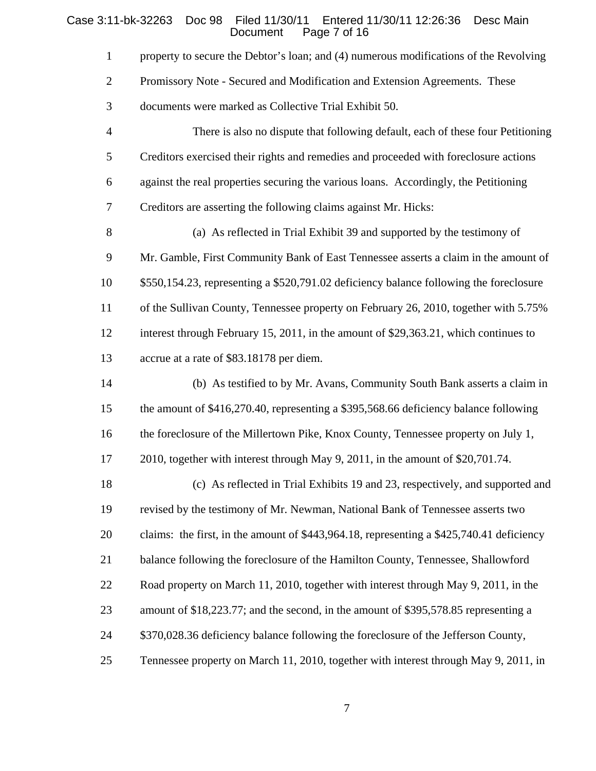## Case 3:11-bk-32263 Doc 98 Filed 11/30/11 Entered 11/30/11 12:26:36 Desc Main Document Page 7 of 16

| $\mathbf{1}$   | property to secure the Debtor's loan; and (4) numerous modifications of the Revolving    |
|----------------|------------------------------------------------------------------------------------------|
| $\mathbf{2}$   | Promissory Note - Secured and Modification and Extension Agreements. These               |
| 3              | documents were marked as Collective Trial Exhibit 50.                                    |
| $\overline{4}$ | There is also no dispute that following default, each of these four Petitioning          |
| 5              | Creditors exercised their rights and remedies and proceeded with foreclosure actions     |
| 6              | against the real properties securing the various loans. Accordingly, the Petitioning     |
| 7              | Creditors are asserting the following claims against Mr. Hicks:                          |
| 8              | (a) As reflected in Trial Exhibit 39 and supported by the testimony of                   |
| 9              | Mr. Gamble, First Community Bank of East Tennessee asserts a claim in the amount of      |
| 10             | \$550,154.23, representing a \$520,791.02 deficiency balance following the foreclosure   |
| 11             | of the Sullivan County, Tennessee property on February 26, 2010, together with 5.75%     |
| 12             | interest through February 15, 2011, in the amount of \$29,363.21, which continues to     |
| 13             | accrue at a rate of \$83.18178 per diem.                                                 |
| 14             | (b) As testified to by Mr. Avans, Community South Bank asserts a claim in                |
| 15             | the amount of \$416,270.40, representing a \$395,568.66 deficiency balance following     |
| 16             | the foreclosure of the Millertown Pike, Knox County, Tennessee property on July 1,       |
| 17             | 2010, together with interest through May 9, 2011, in the amount of \$20,701.74.          |
| 18             | (c) As reflected in Trial Exhibits 19 and 23, respectively, and supported and            |
| 19             | revised by the testimony of Mr. Newman, National Bank of Tennessee asserts two           |
| 20             | claims: the first, in the amount of \$443,964.18, representing a \$425,740.41 deficiency |
| 21             | balance following the foreclosure of the Hamilton County, Tennessee, Shallowford         |
| 22             | Road property on March 11, 2010, together with interest through May 9, 2011, in the      |
| 23             | amount of \$18,223.77; and the second, in the amount of \$395,578.85 representing a      |
| 24             | \$370,028.36 deficiency balance following the foreclosure of the Jefferson County,       |
| 25             | Tennessee property on March 11, 2010, together with interest through May 9, 2011, in     |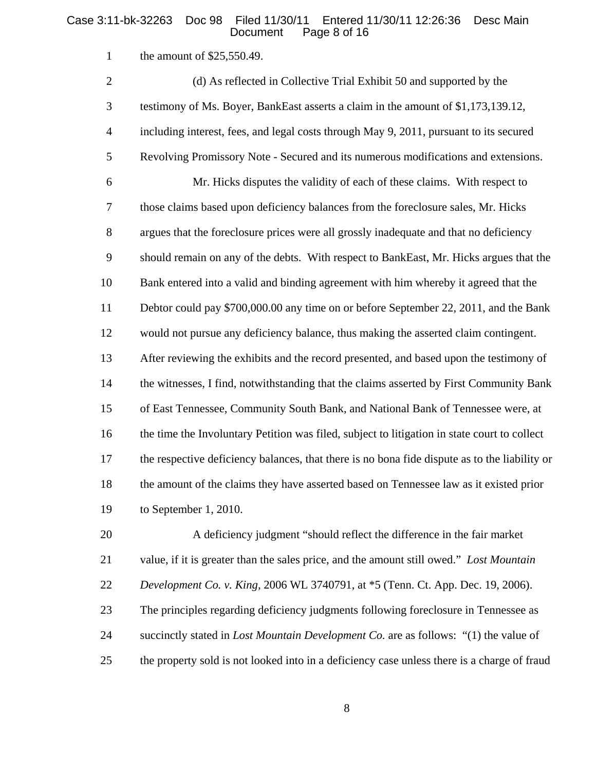#### Case 3:11-bk-32263 Doc 98 Filed 11/30/11 Entered 11/30/11 12:26:36 Desc Main Page 8 of 16

the amount of \$25,550.49.

 (d) As reflected in Collective Trial Exhibit 50 and supported by the testimony of Ms. Boyer, BankEast asserts a claim in the amount of \$1,173,139.12, including interest, fees, and legal costs through May 9, 2011, pursuant to its secured Revolving Promissory Note - Secured and its numerous modifications and extensions. Mr. Hicks disputes the validity of each of these claims. With respect to those claims based upon deficiency balances from the foreclosure sales, Mr. Hicks argues that the foreclosure prices were all grossly inadequate and that no deficiency should remain on any of the debts. With respect to BankEast, Mr. Hicks argues that the Bank entered into a valid and binding agreement with him whereby it agreed that the Debtor could pay \$700,000.00 any time on or before September 22, 2011, and the Bank would not pursue any deficiency balance, thus making the asserted claim contingent. After reviewing the exhibits and the record presented, and based upon the testimony of the witnesses, I find, notwithstanding that the claims asserted by First Community Bank of East Tennessee, Community South Bank, and National Bank of Tennessee were, at the time the Involuntary Petition was filed, subject to litigation in state court to collect the respective deficiency balances, that there is no bona fide dispute as to the liability or the amount of the claims they have asserted based on Tennessee law as it existed prior to September 1, 2010.

 A deficiency judgment "should reflect the difference in the fair market value, if it is greater than the sales price, and the amount still owed." *Lost Mountain Development Co. v. King,* 2006 WL 3740791, at \*5 (Tenn. Ct. App. Dec. 19, 2006). The principles regarding deficiency judgments following foreclosure in Tennessee as succinctly stated in *Lost Mountain Development Co.* are as follows: "(1) the value of the property sold is not looked into in a deficiency case unless there is a charge of fraud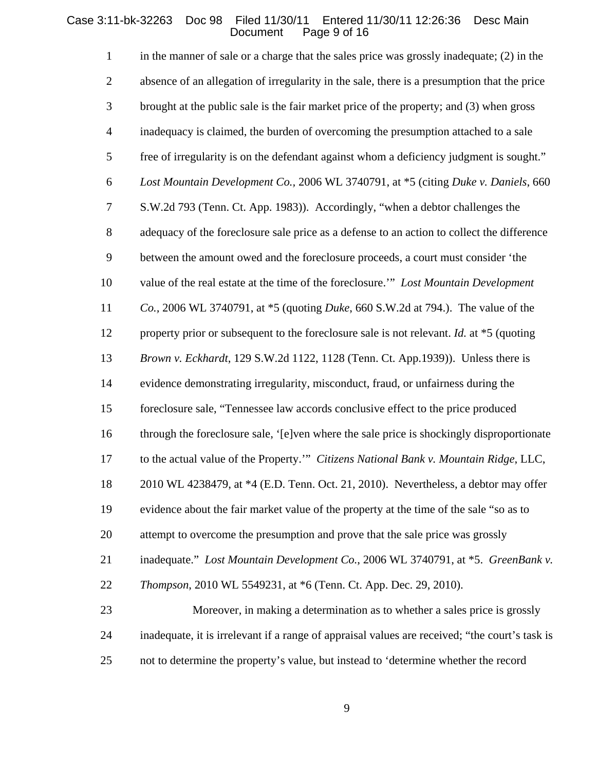## Case 3:11-bk-32263 Doc 98 Filed 11/30/11 Entered 11/30/11 12:26:36 Desc Main Document Page 9 of 16

| $\mathbf{1}$     | in the manner of sale or a charge that the sales price was grossly inadequate; (2) in the      |
|------------------|------------------------------------------------------------------------------------------------|
| $\sqrt{2}$       | absence of an allegation of irregularity in the sale, there is a presumption that the price    |
| $\mathfrak{Z}$   | brought at the public sale is the fair market price of the property; and (3) when gross        |
| $\overline{4}$   | inadequacy is claimed, the burden of overcoming the presumption attached to a sale             |
| 5                | free of irregularity is on the defendant against whom a deficiency judgment is sought."        |
| 6                | Lost Mountain Development Co., 2006 WL 3740791, at *5 (citing Duke v. Daniels, 660             |
| $\boldsymbol{7}$ | S.W.2d 793 (Tenn. Ct. App. 1983)). Accordingly, "when a debtor challenges the                  |
| $8\,$            | adequacy of the foreclosure sale price as a defense to an action to collect the difference     |
| $\mathbf{9}$     | between the amount owed and the foreclosure proceeds, a court must consider 'the               |
| 10               | value of the real estate at the time of the foreclosure." Lost Mountain Development            |
| 11               | Co., 2006 WL 3740791, at *5 (quoting <i>Duke</i> , 660 S.W.2d at 794.). The value of the       |
| 12               | property prior or subsequent to the foreclosure sale is not relevant. Id. at *5 (quoting       |
| 13               | Brown v. Eckhardt, 129 S.W.2d 1122, 1128 (Tenn. Ct. App.1939)). Unless there is                |
| 14               | evidence demonstrating irregularity, misconduct, fraud, or unfairness during the               |
| 15               | foreclosure sale, "Tennessee law accords conclusive effect to the price produced               |
| 16               | through the foreclosure sale, '[e]ven where the sale price is shockingly disproportionate      |
| 17               | to the actual value of the Property." Citizens National Bank v. Mountain Ridge, LLC,           |
| 18               | 2010 WL 4238479, at *4 (E.D. Tenn. Oct. 21, 2010). Nevertheless, a debtor may offer            |
| 19               | evidence about the fair market value of the property at the time of the sale "so as to         |
| 20               | attempt to overcome the presumption and prove that the sale price was grossly                  |
| 21               | inadequate." Lost Mountain Development Co., 2006 WL 3740791, at *5. GreenBank v.               |
| 22               | <i>Thompson</i> , 2010 WL 5549231, at *6 (Tenn. Ct. App. Dec. 29, 2010).                       |
| 23               | Moreover, in making a determination as to whether a sales price is grossly                     |
| 24               | inadequate, it is irrelevant if a range of appraisal values are received; "the court's task is |
| 25               | not to determine the property's value, but instead to 'determine whether the record            |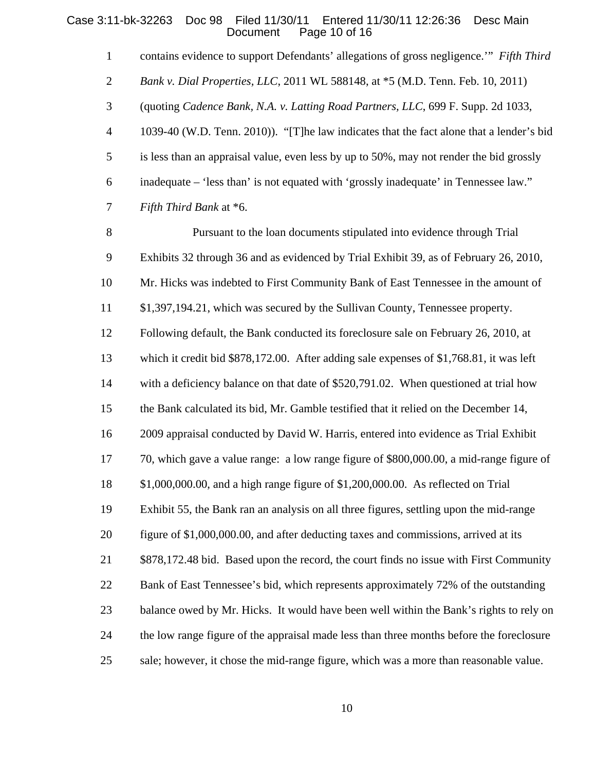#### Case 3:11-bk-32263 Doc 98 Filed 11/30/11 Entered 11/30/11 12:26:36 Desc Main Page 10 of 16

contains evidence to support Defendants' allegations of gross negligence.'" *Fifth Third*

*Bank v. Dial Properties, LLC*, 2011 WL 588148, at \*5 (M.D. Tenn. Feb. 10, 2011)

(quoting *Cadence Bank, N.A. v. Latting Road Partners, LLC*, 699 F. Supp. 2d 1033,

1039-40 (W.D. Tenn. 2010)). "[T]he law indicates that the fact alone that a lender's bid

is less than an appraisal value, even less by up to 50%, may not render the bid grossly

inadequate – 'less than' is not equated with 'grossly inadequate' in Tennessee law."

*Fifth Third Bank* at \*6.

 Pursuant to the loan documents stipulated into evidence through Trial Exhibits 32 through 36 and as evidenced by Trial Exhibit 39, as of February 26, 2010, Mr. Hicks was indebted to First Community Bank of East Tennessee in the amount of \$1,397,194.21, which was secured by the Sullivan County, Tennessee property. Following default, the Bank conducted its foreclosure sale on February 26, 2010, at which it credit bid \$878,172.00. After adding sale expenses of \$1,768.81, it was left 14 with a deficiency balance on that date of \$520,791.02. When questioned at trial how the Bank calculated its bid, Mr. Gamble testified that it relied on the December 14, 2009 appraisal conducted by David W. Harris, entered into evidence as Trial Exhibit 70, which gave a value range: a low range figure of \$800,000.00, a mid-range figure of \$1,000,000.00, and a high range figure of \$1,200,000.00. As reflected on Trial Exhibit 55, the Bank ran an analysis on all three figures, settling upon the mid-range figure of \$1,000,000.00, and after deducting taxes and commissions, arrived at its \$878,172.48 bid. Based upon the record, the court finds no issue with First Community Bank of East Tennessee's bid, which represents approximately 72% of the outstanding 23 balance owed by Mr. Hicks. It would have been well within the Bank's rights to rely on the low range figure of the appraisal made less than three months before the foreclosure sale; however, it chose the mid-range figure, which was a more than reasonable value.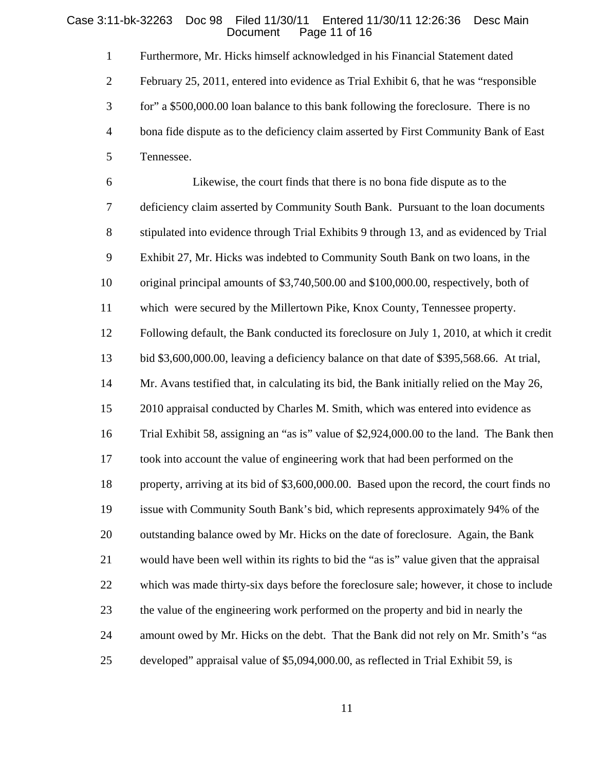#### Case 3:11-bk-32263 Doc 98 Filed 11/30/11 Entered 11/30/11 12:26:36 Desc Main Page 11 of 16

Furthermore, Mr. Hicks himself acknowledged in his Financial Statement dated

 February 25, 2011, entered into evidence as Trial Exhibit 6, that he was "responsible for" a \$500,000.00 loan balance to this bank following the foreclosure. There is no bona fide dispute as to the deficiency claim asserted by First Community Bank of East Tennessee.

 Likewise, the court finds that there is no bona fide dispute as to the deficiency claim asserted by Community South Bank. Pursuant to the loan documents stipulated into evidence through Trial Exhibits 9 through 13, and as evidenced by Trial Exhibit 27, Mr. Hicks was indebted to Community South Bank on two loans, in the original principal amounts of \$3,740,500.00 and \$100,000.00, respectively, both of which were secured by the Millertown Pike, Knox County, Tennessee property. Following default, the Bank conducted its foreclosure on July 1, 2010, at which it credit bid \$3,600,000.00, leaving a deficiency balance on that date of \$395,568.66. At trial, 14 Mr. Avans testified that, in calculating its bid, the Bank initially relied on the May 26, 2010 appraisal conducted by Charles M. Smith, which was entered into evidence as Trial Exhibit 58, assigning an "as is" value of \$2,924,000.00 to the land. The Bank then took into account the value of engineering work that had been performed on the 18 property, arriving at its bid of \$3,600,000.00. Based upon the record, the court finds no issue with Community South Bank's bid, which represents approximately 94% of the outstanding balance owed by Mr. Hicks on the date of foreclosure. Again, the Bank would have been well within its rights to bid the "as is" value given that the appraisal which was made thirty-six days before the foreclosure sale; however, it chose to include the value of the engineering work performed on the property and bid in nearly the amount owed by Mr. Hicks on the debt. That the Bank did not rely on Mr. Smith's "as developed" appraisal value of \$5,094,000.00, as reflected in Trial Exhibit 59, is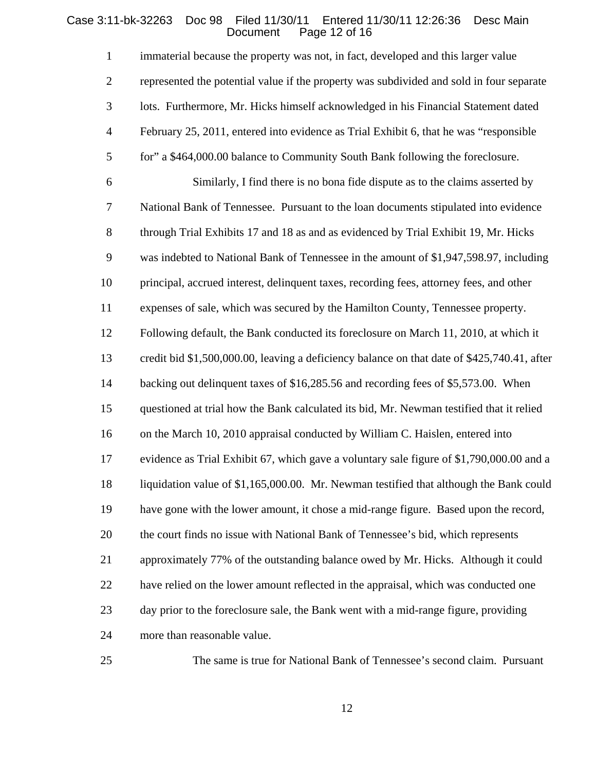## Case 3:11-bk-32263 Doc 98 Filed 11/30/11 Entered 11/30/11 12:26:36 Desc Main Document Page 12 of 16

| $\mathbf{1}$   | immaterial because the property was not, in fact, developed and this larger value           |
|----------------|---------------------------------------------------------------------------------------------|
| $\mathbf{2}$   | represented the potential value if the property was subdivided and sold in four separate    |
| 3              | lots. Furthermore, Mr. Hicks himself acknowledged in his Financial Statement dated          |
| $\overline{4}$ | February 25, 2011, entered into evidence as Trial Exhibit 6, that he was "responsible       |
| 5              | for" a \$464,000.00 balance to Community South Bank following the foreclosure.              |
| 6              | Similarly, I find there is no bona fide dispute as to the claims asserted by                |
| 7              | National Bank of Tennessee. Pursuant to the loan documents stipulated into evidence         |
| $8\,$          | through Trial Exhibits 17 and 18 as and as evidenced by Trial Exhibit 19, Mr. Hicks         |
| 9              | was indebted to National Bank of Tennessee in the amount of \$1,947,598.97, including       |
| 10             | principal, accrued interest, delinquent taxes, recording fees, attorney fees, and other     |
| 11             | expenses of sale, which was secured by the Hamilton County, Tennessee property.             |
| 12             | Following default, the Bank conducted its foreclosure on March 11, 2010, at which it        |
| 13             | credit bid \$1,500,000.00, leaving a deficiency balance on that date of \$425,740.41, after |
| 14             | backing out delinquent taxes of \$16,285.56 and recording fees of \$5,573.00. When          |
| 15             | questioned at trial how the Bank calculated its bid, Mr. Newman testified that it relied    |
| 16             | on the March 10, 2010 appraisal conducted by William C. Haislen, entered into               |
| 17             | evidence as Trial Exhibit 67, which gave a voluntary sale figure of \$1,790,000.00 and a    |
| 18             | liquidation value of \$1,165,000.00. Mr. Newman testified that although the Bank could      |
| 19             | have gone with the lower amount, it chose a mid-range figure. Based upon the record,        |
| 20             | the court finds no issue with National Bank of Tennessee's bid, which represents            |
| 21             | approximately 77% of the outstanding balance owed by Mr. Hicks. Although it could           |
| 22             | have relied on the lower amount reflected in the appraisal, which was conducted one         |
| 23             | day prior to the foreclosure sale, the Bank went with a mid-range figure, providing         |
| 24             | more than reasonable value.                                                                 |
| 25             | The same is true for National Bank of Tennessee's second claim. Pursuant                    |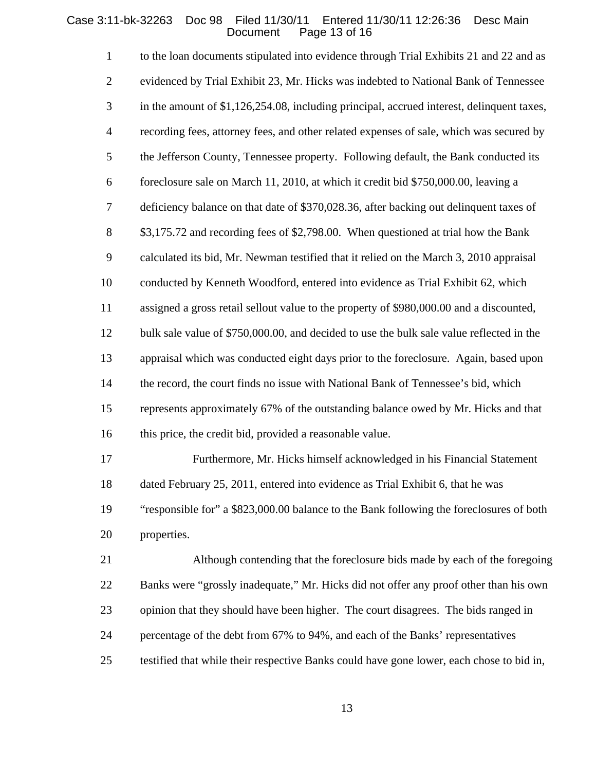## Case 3:11-bk-32263 Doc 98 Filed 11/30/11 Entered 11/30/11 12:26:36 Desc Main Document Page 13 of 16

| $\mathbf{1}$   | to the loan documents stipulated into evidence through Trial Exhibits 21 and 22 and as    |
|----------------|-------------------------------------------------------------------------------------------|
| $\mathfrak{2}$ | evidenced by Trial Exhibit 23, Mr. Hicks was indebted to National Bank of Tennessee       |
| 3              | in the amount of \$1,126,254.08, including principal, accrued interest, delinquent taxes, |
| $\overline{4}$ | recording fees, attorney fees, and other related expenses of sale, which was secured by   |
| 5              | the Jefferson County, Tennessee property. Following default, the Bank conducted its       |
| 6              | foreclosure sale on March 11, 2010, at which it credit bid \$750,000.00, leaving a        |
| $\tau$         | deficiency balance on that date of \$370,028.36, after backing out delinquent taxes of    |
| $8\,$          | \$3,175.72 and recording fees of \$2,798.00. When questioned at trial how the Bank        |
| $\mathbf{9}$   | calculated its bid, Mr. Newman testified that it relied on the March 3, 2010 appraisal    |
| 10             | conducted by Kenneth Woodford, entered into evidence as Trial Exhibit 62, which           |
| 11             | assigned a gross retail sellout value to the property of \$980,000.00 and a discounted,   |
| 12             | bulk sale value of \$750,000.00, and decided to use the bulk sale value reflected in the  |
| 13             | appraisal which was conducted eight days prior to the foreclosure. Again, based upon      |
| 14             | the record, the court finds no issue with National Bank of Tennessee's bid, which         |
| 15             | represents approximately 67% of the outstanding balance owed by Mr. Hicks and that        |
| 16             | this price, the credit bid, provided a reasonable value.                                  |
| 17             | Furthermore, Mr. Hicks himself acknowledged in his Financial Statement                    |
| 18             | dated February 25, 2011, entered into evidence as Trial Exhibit 6, that he was            |
| 19             | "responsible for" a \$823,000.00 balance to the Bank following the foreclosures of both   |
| 20             | properties.                                                                               |
| 21             | Although contending that the foreclosure bids made by each of the foregoing               |
| 22             | Banks were "grossly inadequate," Mr. Hicks did not offer any proof other than his own     |
| 23             | opinion that they should have been higher. The court disagrees. The bids ranged in        |

- percentage of the debt from 67% to 94%, and each of the Banks' representatives
- testified that while their respective Banks could have gone lower, each chose to bid in,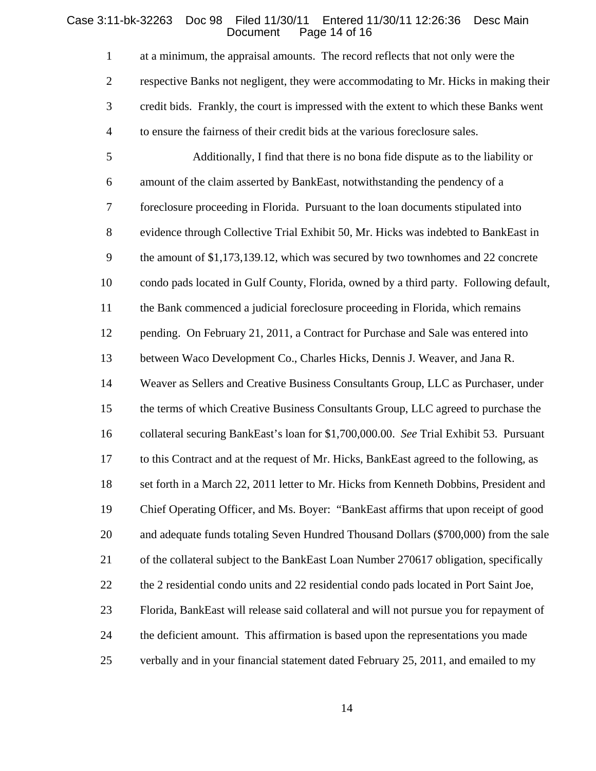#### Case 3:11-bk-32263 Doc 98 Filed 11/30/11 Entered 11/30/11 12:26:36 Desc Main Page 14 of 16

 at a minimum, the appraisal amounts. The record reflects that not only were the respective Banks not negligent, they were accommodating to Mr. Hicks in making their credit bids. Frankly, the court is impressed with the extent to which these Banks went to ensure the fairness of their credit bids at the various foreclosure sales.

 Additionally, I find that there is no bona fide dispute as to the liability or amount of the claim asserted by BankEast, notwithstanding the pendency of a foreclosure proceeding in Florida. Pursuant to the loan documents stipulated into evidence through Collective Trial Exhibit 50, Mr. Hicks was indebted to BankEast in the amount of \$1,173,139.12, which was secured by two townhomes and 22 concrete condo pads located in Gulf County, Florida, owned by a third party. Following default, the Bank commenced a judicial foreclosure proceeding in Florida, which remains pending. On February 21, 2011, a Contract for Purchase and Sale was entered into between Waco Development Co., Charles Hicks, Dennis J. Weaver, and Jana R. Weaver as Sellers and Creative Business Consultants Group, LLC as Purchaser, under the terms of which Creative Business Consultants Group, LLC agreed to purchase the collateral securing BankEast's loan for \$1,700,000.00. *See* Trial Exhibit 53. Pursuant to this Contract and at the request of Mr. Hicks, BankEast agreed to the following, as 18 set forth in a March 22, 2011 letter to Mr. Hicks from Kenneth Dobbins, President and Chief Operating Officer, and Ms. Boyer: "BankEast affirms that upon receipt of good and adequate funds totaling Seven Hundred Thousand Dollars (\$700,000) from the sale of the collateral subject to the BankEast Loan Number 270617 obligation, specifically the 2 residential condo units and 22 residential condo pads located in Port Saint Joe, Florida, BankEast will release said collateral and will not pursue you for repayment of the deficient amount. This affirmation is based upon the representations you made verbally and in your financial statement dated February 25, 2011, and emailed to my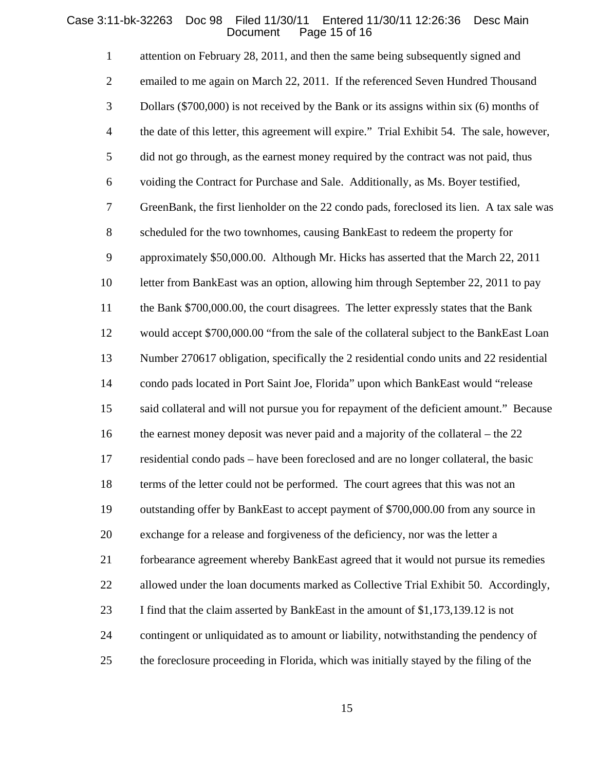## Case 3:11-bk-32263 Doc 98 Filed 11/30/11 Entered 11/30/11 12:26:36 Desc Main Document Page 15 of 16

| $\mathbf{1}$   | attention on February 28, 2011, and then the same being subsequently signed and            |
|----------------|--------------------------------------------------------------------------------------------|
| $\mathbf{2}$   | emailed to me again on March 22, 2011. If the referenced Seven Hundred Thousand            |
| 3              | Dollars (\$700,000) is not received by the Bank or its assigns within six (6) months of    |
| $\overline{4}$ | the date of this letter, this agreement will expire." Trial Exhibit 54. The sale, however, |
| $\mathfrak{S}$ | did not go through, as the earnest money required by the contract was not paid, thus       |
| 6              | voiding the Contract for Purchase and Sale. Additionally, as Ms. Boyer testified,          |
| $\tau$         | GreenBank, the first lienholder on the 22 condo pads, foreclosed its lien. A tax sale was  |
| $8\,$          | scheduled for the two townhomes, causing BankEast to redeem the property for               |
| $\mathbf{9}$   | approximately \$50,000.00. Although Mr. Hicks has asserted that the March 22, 2011         |
| 10             | letter from BankEast was an option, allowing him through September 22, 2011 to pay         |
| 11             | the Bank \$700,000.00, the court disagrees. The letter expressly states that the Bank      |
| 12             | would accept \$700,000.00 "from the sale of the collateral subject to the BankEast Loan    |
| 13             | Number 270617 obligation, specifically the 2 residential condo units and 22 residential    |
| 14             | condo pads located in Port Saint Joe, Florida" upon which BankEast would "release          |
| 15             | said collateral and will not pursue you for repayment of the deficient amount." Because    |
| 16             | the earnest money deposit was never paid and a majority of the collateral $-$ the 22       |
| 17             | residential condo pads – have been foreclosed and are no longer collateral, the basic      |
| 18             | terms of the letter could not be performed. The court agrees that this was not an          |
| 19             | outstanding offer by BankEast to accept payment of \$700,000.00 from any source in         |
| 20             | exchange for a release and forgiveness of the deficiency, nor was the letter a             |
| 21             | forbearance agreement whereby BankEast agreed that it would not pursue its remedies        |
| 22             | allowed under the loan documents marked as Collective Trial Exhibit 50. Accordingly,       |
| 23             | I find that the claim asserted by BankEast in the amount of \$1,173,139.12 is not          |
| 24             | contingent or unliquidated as to amount or liability, notwithstanding the pendency of      |
| 25             | the foreclosure proceeding in Florida, which was initially stayed by the filing of the     |